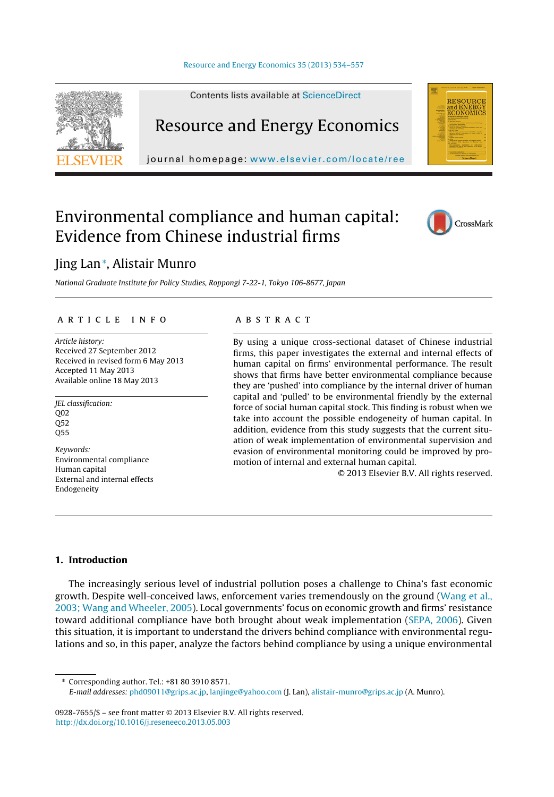Contents lists available at [ScienceDirect](http://www.sciencedirect.com/science/journal/09287655)



Resource and Energy Economics

journal homepage: [www.elsevier.com/locate/ree](http://www.elsevier.com/locate/ree)

## Environmental compliance and human capital: Evidence from Chinese industrial firms



**RESOURCE** 

### Jing Lan<sup>∗</sup> , Alistair Munro

National Graduate Institute for Policy Studies, Roppongi 7-22-1, Tokyo 106-8677, Japan

#### a r t i c l e i n f o

Article history: Received 27 September 2012 Received in revised form 6 May 2013 Accepted 11 May 2013 Available online 18 May 2013

JEL classification: Q02 Q52 Q55

Keywords: Environmental compliance Human capital External and internal effects Endogeneity

#### A B S T R A C T

By using a unique cross-sectional dataset of Chinese industrial firms, this paper investigates the external and internal effects of human capital on firms' environmental performance. The result shows that firms have better environmental compliance because they are 'pushed' into compliance by the internal driver of human capital and 'pulled' to be environmental friendly by the external force of social human capital stock. This finding is robust when we take into account the possible endogeneity of human capital. In addition, evidence from this study suggests that the current situation of weak implementation of environmental supervision and evasion of environmental monitoring could be improved by promotion of internal and external human capital.

© 2013 Elsevier B.V. All rights reserved.

#### **1. Introduction**

The increasingly serious level of industrial pollution poses a challenge to China's fast economic growth. Despite well-conceived laws, enforcement varies tremendously on the ground [\(Wang](#page--1-0) et [al.,](#page--1-0) [2003;](#page--1-0) [Wang](#page--1-0) [and](#page--1-0) [Wheeler,](#page--1-0) [2005\).](#page--1-0) Local governments' focus on economic growth and firms' resistance toward additional compliance have both brought about weak implementation [\(SEPA,](#page--1-0) [2006\).](#page--1-0) Given this situation, it is important to understand the drivers behind compliance with environmental regulations and so, in this paper, analyze the factors behind compliance by using a unique environmental

∗ Corresponding author. Tel.: +81 80 3910 8571.

E-mail addresses: [phd09011@grips.ac.jp](mailto:phd09011@grips.ac.jp), [lanjinge@yahoo.com](mailto:lanjinge@yahoo.com) (J. Lan), [alistair-munro@grips.ac.jp](mailto:alistair-munro@grips.ac.jp) (A. Munro).

0928-7655/\$ – see front matter © 2013 Elsevier B.V. All rights reserved. [http://dx.doi.org/10.1016/j.reseneeco.2013.05.003](dx.doi.org/10.1016/j.reseneeco.2013.05.003)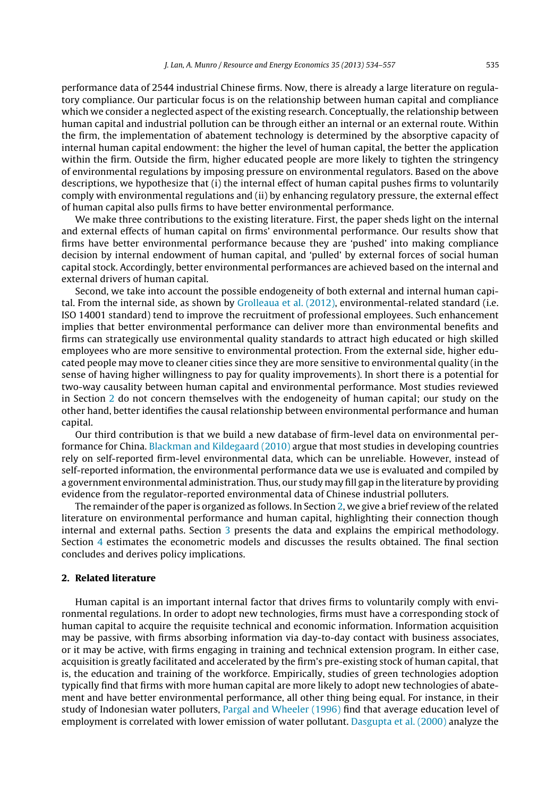performance data of 2544 industrial Chinese firms. Now, there is already a large literature on regulatory compliance. Our particular focus is on the relationship between human capital and compliance which we consider a neglected aspect of the existing research. Conceptually, the relationship between human capital and industrial pollution can be through either an internal or an external route. Within the firm, the implementation of abatement technology is determined by the absorptive capacity of internal human capital endowment: the higher the level of human capital, the better the application within the firm. Outside the firm, higher educated people are more likely to tighten the stringency of environmental regulations by imposing pressure on environmental regulators. Based on the above descriptions, we hypothesize that (i) the internal effect of human capital pushes firms to voluntarily comply with environmental regulations and (ii) by enhancing regulatory pressure, the external effect of human capital also pulls firms to have better environmental performance.

We make three contributions to the existing literature. First, the paper sheds light on the internal and external effects of human capital on firms' environmental performance. Our results show that firms have better environmental performance because they are 'pushed' into making compliance decision by internal endowment of human capital, and 'pulled' by external forces of social human capital stock. Accordingly, better environmental performances are achieved based on the internal and external drivers of human capital.

Second, we take into account the possible endogeneity of both external and internal human capital. From the internal side, as shown by [Grolleaua](#page--1-0) et [al.](#page--1-0) [\(2012\),](#page--1-0) environmental-related standard (i.e. ISO 14001 standard) tend to improve the recruitment of professional employees. Such enhancement implies that better environmental performance can deliver more than environmental benefits and firms can strategically use environmental quality standards to attract high educated or high skilled employees who are more sensitive to environmental protection. From the external side, higher educated people may move to cleaner cities since they are more sensitive to environmental quality (in the sense of having higher willingness to pay for quality improvements). In short there is a potential for two-way causality between human capital and environmental performance. Most studies reviewed in Section 2 do not concern themselves with the endogeneity of human capital; our study on the other hand, better identifies the causal relationship between environmental performance and human capital.

Our third contribution is that we build a new database of firm-level data on environmental performance for China. [Blackman](#page--1-0) [and](#page--1-0) [Kildegaard](#page--1-0) [\(2010\)](#page--1-0) argue that most studies in developing countries rely on self-reported firm-level environmental data, which can be unreliable. However, instead of self-reported information, the environmental performance data we use is evaluated and compiled by a government environmental administration. Thus, our study may fill gap in the literature by providing evidence from the regulator-reported environmental data of Chinese industrial polluters.

The remainder ofthe paper is organized as follows. In Section 2, we give a brief review ofthe related literature on environmental performance and human capital, highlighting their connection though internal and external paths. Section [3](#page--1-0) presents the data and explains the empirical methodology. Section [4](#page--1-0) estimates the econometric models and discusses the results obtained. The final section concludes and derives policy implications.

#### **2. Related literature**

Human capital is an important internal factor that drives firms to voluntarily comply with environmental regulations. In order to adopt new technologies, firms must have a corresponding stock of human capital to acquire the requisite technical and economic information. Information acquisition may be passive, with firms absorbing information via day-to-day contact with business associates, or it may be active, with firms engaging in training and technical extension program. In either case, acquisition is greatly facilitated and accelerated by the firm's pre-existing stock of human capital, that is, the education and training of the workforce. Empirically, studies of green technologies adoption typically find that firms with more human capital are more likely to adopt new technologies of abatement and have better environmental performance, all other thing being equal. For instance, in their study of Indonesian water polluters, [Pargal](#page--1-0) [and](#page--1-0) [Wheeler](#page--1-0) [\(1996\)](#page--1-0) find that average education level of employment is correlated with lower emission of water pollutant. [Dasgupta](#page--1-0) et [al.](#page--1-0) [\(2000\)](#page--1-0) analyze the